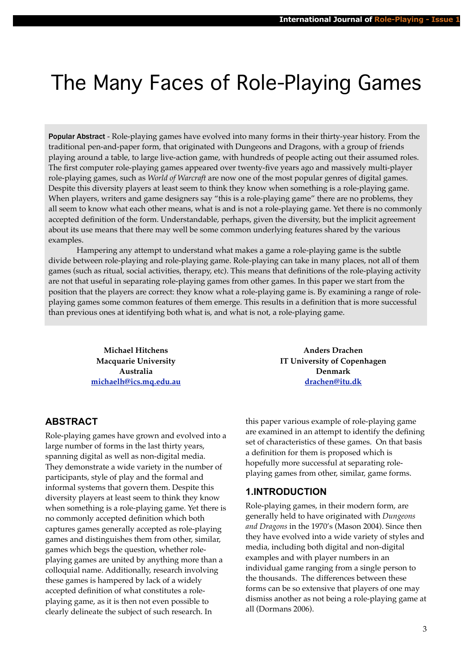# The Many Faces of Role-Playing Games

Popular Abstract - Role-playing games have evolved into many forms in their thirty-year history. From the traditional pen-and-paper form, that originated with Dungeons and Dragons, with a group of friends playing around a table, to large live-action game, with hundreds of people acting out their assumed roles. The first computer role-playing games appeared over twenty-five years ago and massively multi-player role-playing games, such as *World of Warcraft* are now one of the most popular genres of digital games. Despite this diversity players at least seem to think they know when something is a role-playing game. When players, writers and game designers say "this is a role-playing game" there are no problems, they all seem to know what each other means, what is and is not a role-playing game. Yet there is no commonly accepted definition of the form. Understandable, perhaps, given the diversity, but the implicit agreement about its use means that there may well be some common underlying features shared by the various examples.

Hampering any attempt to understand what makes a game a role-playing game is the subtle divide between role-playing and role-playing game. Role-playing can take in many places, not all of them games (such as ritual, social activities, therapy, etc). This means that definitions of the role-playing activity are not that useful in separating role-playing games from other games. In this paper we start from the position that the players are correct: they know what a role-playing game is. By examining a range of roleplaying games some common features of them emerge. This results in a definition that is more successful than previous ones at identifying both what is, and what is not, a role-playing game.

> **Michael Hitchens Macquarie University Australia [michaelh@ics.mq.edu.au](mailto:michaelh@ics.mq.edu.au)**

# **ABSTRACT**

Role-playing games have grown and evolved into a large number of forms in the last thirty years, spanning digital as well as non-digital media. They demonstrate a wide variety in the number of participants, style of play and the formal and informal systems that govern them. Despite this diversity players at least seem to think they know when something is a role-playing game. Yet there is no commonly accepted definition which both captures games generally accepted as role-playing games and distinguishes them from other, similar, games which begs the question, whether roleplaying games are united by anything more than a colloquial name. Additionally, research involving these games is hampered by lack of a widely accepted definition of what constitutes a roleplaying game, as it is then not even possible to clearly delineate the subject of such research. In

**Anders Drachen IT University of Copenhagen Denmark [drachen@itu.dk](mailto:drachen@itu.dk)**

this paper various example of role-playing game are examined in an attempt to identify the defining set of characteristics of these games. On that basis a definition for them is proposed which is hopefully more successful at separating roleplaying games from other, similar, game forms.

## **1.INTRODUCTION**

Role-playing games, in their modern form, are generally held to have originated with *Dungeons and Dragons* in the 1970's (Mason 2004). Since then they have evolved into a wide variety of styles and media, including both digital and non-digital examples and with player numbers in an individual game ranging from a single person to the thousands. The differences between these forms can be so extensive that players of one may dismiss another as not being a role-playing game at all (Dormans 2006).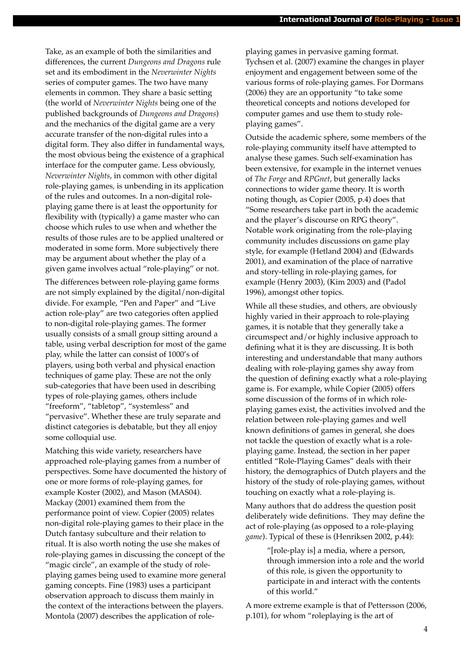Take, as an example of both the similarities and differences, the current *Dungeons and Dragons* rule set and its embodiment in the *Neverwinter Nights*  series of computer games. The two have many elements in common. They share a basic setting (the world of *Neverwinter Nights* being one of the published backgrounds of *Dungeons and Dragons*) and the mechanics of the digital game are a very accurate transfer of the non-digital rules into a digital form. They also differ in fundamental ways, the most obvious being the existence of a graphical interface for the computer game. Less obviously, *Neverwinter Nights*, in common with other digital role-playing games*,* is unbending in its application of the rules and outcomes. In a non-digital roleplaying game there is at least the opportunity for flexibility with (typically) a game master who can choose which rules to use when and whether the results of those rules are to be applied unaltered or moderated in some form. More subjectively there may be argument about whether the play of a given game involves actual "role-playing" or not.

The differences between role-playing game forms are not simply explained by the digital/non-digital divide. For example, "Pen and Paper" and "Live action role-play" are two categories often applied to non-digital role-playing games. The former usually consists of a small group sitting around a table, using verbal description for most of the game play, while the latter can consist of 1000's of players, using both verbal and physical enaction techniques of game play. These are not the only sub-categories that have been used in describing types of role-playing games, others include "freeform", "tabletop", "systemless" and "pervasive". Whether these are truly separate and distinct categories is debatable, but they all enjoy some colloquial use.

Matching this wide variety, researchers have approached role-playing games from a number of perspectives. Some have documented the history of one or more forms of role-playing games, for example Koster (2002), and Mason (MAS04). Mackay (2001) examined them from the performance point of view. Copier (2005) relates non-digital role-playing games to their place in the Dutch fantasy subculture and their relation to ritual. It is also worth noting the use she makes of role-playing games in discussing the concept of the "magic circle", an example of the study of roleplaying games being used to examine more general gaming concepts. Fine (1983) uses a participant observation approach to discuss them mainly in the context of the interactions between the players. Montola (2007) describes the application of roleplaying games in pervasive gaming format. Tychsen et al. (2007) examine the changes in player enjoyment and engagement between some of the various forms of role-playing games. For Dormans (2006) they are an opportunity "to take some theoretical concepts and notions developed for computer games and use them to study roleplaying games".

Outside the academic sphere, some members of the role-playing community itself have attempted to analyse these games. Such self-examination has been extensive, for example in the internet venues of *The Forge* and *RPGnet*, but generally lacks connections to wider game theory. It is worth noting though, as Copier (2005, p.4) does that "Some researchers take part in both the academic and the player's discourse on RPG theory". Notable work originating from the role-playing community includes discussions on game play style, for example (Hetland 2004) and (Edwards 2001), and examination of the place of narrative and story-telling in role-playing games, for example (Henry 2003), (Kim 2003) and (Padol 1996), amongst other topics.

While all these studies, and others, are obviously highly varied in their approach to role-playing games, it is notable that they generally take a circumspect and/or highly inclusive approach to defining what it is they are discussing. It is both interesting and understandable that many authors dealing with role-playing games shy away from the question of defining exactly what a role-playing game is. For example, while Copier (2005) offers some discussion of the forms of in which roleplaying games exist, the activities involved and the relation between role-playing games and well known definitions of games in general, she does not tackle the question of exactly what is a roleplaying game. Instead, the section in her paper entitled "Role-Playing Games" deals with their history, the demographics of Dutch players and the history of the study of role-playing games, without touching on exactly what a role-playing is.

Many authors that do address the question posit deliberately wide definitions. They may define the act of role-playing (as opposed to a role-playing *game*). Typical of these is (Henriksen 2002, p.44):

> "[role-play is] a media, where a person, through immersion into a role and the world of this role, is given the opportunity to participate in and interact with the contents of this world."

A more extreme example is that of Pettersson (2006, p.101), for whom "roleplaying is the art of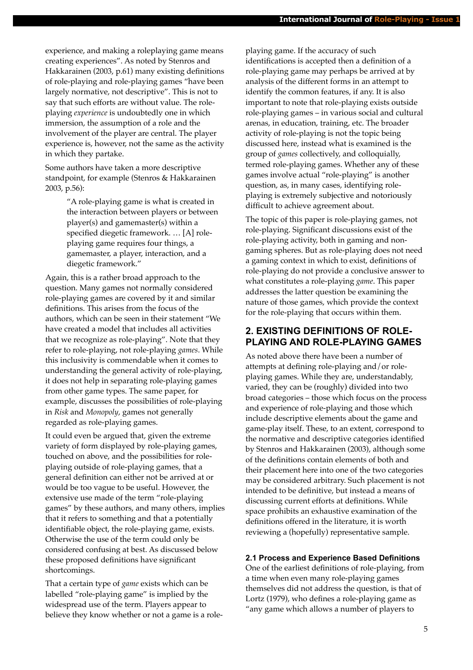experience, and making a roleplaying game means creating experiences". As noted by Stenros and Hakkarainen (2003, p.61) many existing definitions of role-playing and role-playing games "have been largely normative, not descriptive". This is not to say that such efforts are without value. The roleplaying *experience* is undoubtedly one in which immersion, the assumption of a role and the involvement of the player are central. The player experience is, however, not the same as the activity in which they partake.

Some authors have taken a more descriptive standpoint, for example (Stenros & Hakkarainen 2003, p.56):

> "A role-playing game is what is created in the interaction between players or between player(s) and gamemaster(s) within a specified diegetic framework. … [A] roleplaying game requires four things, a gamemaster, a player, interaction, and a diegetic framework."

Again, this is a rather broad approach to the question. Many games not normally considered role-playing games are covered by it and similar definitions. This arises from the focus of the authors, which can be seen in their statement "We have created a model that includes all activities that we recognize as role-playing". Note that they refer to role-playing, not role-playing *games*. While this inclusivity is commendable when it comes to understanding the general activity of role-playing, it does not help in separating role-playing games from other game types. The same paper, for example, discusses the possibilities of role-playing in *Risk* and *Monopoly*, games not generally regarded as role-playing games.

It could even be argued that, given the extreme variety of form displayed by role-playing games, touched on above, and the possibilities for roleplaying outside of role-playing games, that a general definition can either not be arrived at or would be too vague to be useful. However, the extensive use made of the term "role-playing games" by these authors, and many others, implies that it refers to something and that a potentially identifiable object, the role-playing game, exists. Otherwise the use of the term could only be considered confusing at best. As discussed below these proposed definitions have significant shortcomings.

That a certain type of *game* exists which can be labelled "role-playing game" is implied by the widespread use of the term. Players appear to believe they know whether or not a game is a roleplaying game. If the accuracy of such identifications is accepted then a definition of a role-playing game may perhaps be arrived at by analysis of the different forms in an attempt to identify the common features, if any. It is also important to note that role-playing exists outside role-playing games – in various social and cultural arenas, in education, training, etc. The broader activity of role-playing is not the topic being discussed here, instead what is examined is the group of *games* collectively, and colloquially, termed role-playing games. Whether any of these games involve actual "role-playing" is another question, as, in many cases, identifying roleplaying is extremely subjective and notoriously difficult to achieve agreement about.

The topic of this paper is role-playing games, not role-playing. Significant discussions exist of the role-playing activity, both in gaming and nongaming spheres. But as role-playing does not need a gaming context in which to exist, definitions of role-playing do not provide a conclusive answer to what constitutes a role-playing *game*. This paper addresses the latter question be examining the nature of those games, which provide the context for the role-playing that occurs within them.

## **2. EXISTING DEFINITIONS OF ROLE-PLAYING AND ROLE-PLAYING GAMES**

As noted above there have been a number of attempts at defining role-playing and/or roleplaying games. While they are, understandably, varied, they can be (roughly) divided into two broad categories – those which focus on the process and experience of role-playing and those which include descriptive elements about the game and game-play itself. These, to an extent, correspond to the normative and descriptive categories identified by Stenros and Hakkarainen (2003), although some of the definitions contain elements of both and their placement here into one of the two categories may be considered arbitrary. Such placement is not intended to be definitive, but instead a means of discussing current efforts at definitions. While space prohibits an exhaustive examination of the definitions offered in the literature, it is worth reviewing a (hopefully) representative sample.

#### **2.1 Process and Experience Based Definitions**

One of the earliest definitions of role-playing, from a time when even many role-playing games themselves did not address the question, is that of Lortz (1979), who defines a role-playing game as "any game which allows a number of players to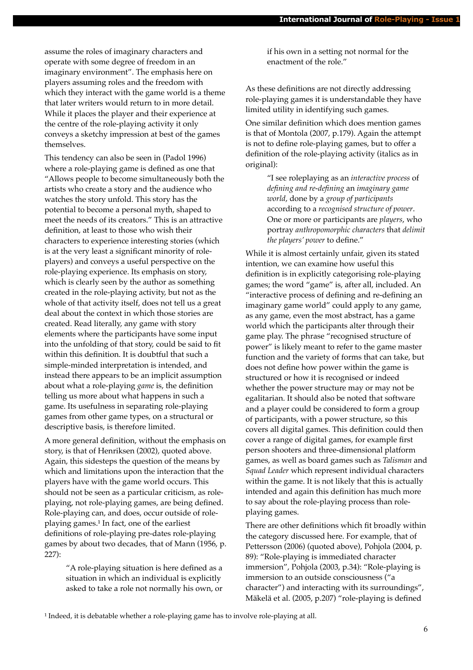assume the roles of imaginary characters and operate with some degree of freedom in an imaginary environment". The emphasis here on players assuming roles and the freedom with which they interact with the game world is a theme that later writers would return to in more detail. While it places the player and their experience at the centre of the role-playing activity it only conveys a sketchy impression at best of the games themselves.

This tendency can also be seen in (Padol 1996) where a role-playing game is defined as one that "Allows people to become simultaneously both the artists who create a story and the audience who watches the story unfold. This story has the potential to become a personal myth, shaped to meet the needs of its creators." This is an attractive definition, at least to those who wish their characters to experience interesting stories (which is at the very least a significant minority of roleplayers) and conveys a useful perspective on the role-playing experience. Its emphasis on story, which is clearly seen by the author as something created in the role-playing activity, but not as the whole of that activity itself, does not tell us a great deal about the context in which those stories are created. Read literally, any game with story elements where the participants have some input into the unfolding of that story, could be said to fit within this definition. It is doubtful that such a simple-minded interpretation is intended, and instead there appears to be an implicit assumption about what a role-playing *game* is, the definition telling us more about what happens in such a game. Its usefulness in separating role-playing games from other game types, on a structural or descriptive basis, is therefore limited.

A more general definition, without the emphasis on story, is that of Henriksen (2002), quoted above. Again, this sidesteps the question of the means by which and limitations upon the interaction that the players have with the game world occurs. This should not be seen as a particular criticism, as roleplaying, not role-playing games, are being defined. Role-playing can, and does, occur outside of roleplaying games.<sup>1</sup> In fact, one of the earliest definitions of role-playing pre-dates role-playing games by about two decades, that of Mann (1956, p. 227):

> "A role-playing situation is here defined as a situation in which an individual is explicitly asked to take a role not normally his own, or

if his own in a setting not normal for the enactment of the role."

As these definitions are not directly addressing role-playing games it is understandable they have limited utility in identifying such games.

One similar definition which does mention games is that of Montola (2007, p.179). Again the attempt is not to define role-playing games, but to offer a definition of the role-playing activity (italics as in original):

> "I see roleplaying as an *interactive process* of *defining and re-defining* an *imaginary game world*, done by a *group of participants* according to a *recognised structure of power*. One or more or participants are *players*, who portray *anthropomorphic characters* that *delimit the players' power* to define."

While it is almost certainly unfair, given its stated intention, we can examine how useful this definition is in explicitly categorising role-playing games; the word "game" is, after all, included. An "interactive process of defining and re-defining an imaginary game world" could apply to any game, as any game, even the most abstract, has a game world which the participants alter through their game play. The phrase "recognised structure of power" is likely meant to refer to the game master function and the variety of forms that can take, but does not define how power within the game is structured or how it is recognised or indeed whether the power structure may or may not be egalitarian. It should also be noted that software and a player could be considered to form a group of participants, with a power structure, so this covers all digital games. This definition could then cover a range of digital games, for example first person shooters and three-dimensional platform games, as well as board games such as *Talisman* and *Squad Leader* which represent individual characters within the game. It is not likely that this is actually intended and again this definition has much more to say about the role-playing process than roleplaying games.

There are other definitions which fit broadly within the category discussed here. For example, that of Pettersson (2006) (quoted above), Pohjola (2004, p. 89): "Role-playing is immediated character immersion", Pohjola (2003, p.34): "Role-playing is immersion to an outside consciousness ("a character") and interacting with its surroundings", Mäkelä et al. (2005, p.207) "role-playing is defined

<sup>1</sup> Indeed, it is debatable whether a role-playing game has to involve role-playing at all.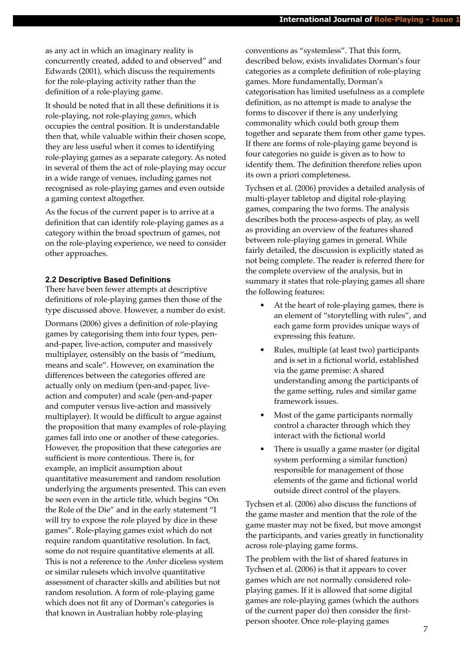as any act in which an imaginary reality is concurrently created, added to and observed" and Edwards (2001), which discuss the requirements for the role-playing activity rather than the definition of a role-playing game.

It should be noted that in all these definitions it is role-playing, not role-playing *games*, which occupies the central position. It is understandable then that, while valuable within their chosen scope, they are less useful when it comes to identifying role-playing games as a separate category. As noted in several of them the act of role-playing may occur in a wide range of venues, including games not recognised as role-playing games and even outside a gaming context altogether.

As the focus of the current paper is to arrive at a definition that can identify role-playing games as a category within the broad spectrum of games, not on the role-playing experience, we need to consider other approaches.

#### **2.2 Descriptive Based Definitions**

There have been fewer attempts at descriptive definitions of role-playing games then those of the type discussed above. However, a number do exist.

Dormans (2006) gives a definition of role-playing games by categorising them into four types, penand-paper, live-action, computer and massively multiplayer, ostensibly on the basis of "medium, means and scale". However, on examination the differences between the categories offered are actually only on medium (pen-and-paper, liveaction and computer) and scale (pen-and-paper and computer versus live-action and massively multiplayer). It would be difficult to argue against the proposition that many examples of role-playing games fall into one or another of these categories. However, the proposition that these categories are sufficient is more contentious. There is, for example, an implicit assumption about quantitative measurement and random resolution underlying the arguments presented. This can even be seen even in the article title, which begins "On the Role of the Die" and in the early statement "I will try to expose the role played by dice in these games". Role-playing games exist which do not require random quantitative resolution. In fact, some do not require quantitative elements at all. This is not a reference to the *Amber* diceless system or similar rulesets which involve quantitative assessment of character skills and abilities but not random resolution. A form of role-playing game which does not fit any of Dorman's categories is that known in Australian hobby role-playing

conventions as "systemless". That this form, described below, exists invalidates Dorman's four categories as a complete definition of role-playing games. More fundamentally, Dorman's categorisation has limited usefulness as a complete definition, as no attempt is made to analyse the forms to discover if there is any underlying commonality which could both group them together and separate them from other game types. If there are forms of role-playing game beyond is four categories no guide is given as to how to identify them. The definition therefore relies upon its own a priori completeness.

Tychsen et al. (2006) provides a detailed analysis of multi-player tabletop and digital role-playing games, comparing the two forms. The analysis describes both the process-aspects of play, as well as providing an overview of the features shared between role-playing games in general. While fairly detailed, the discussion is explicitly stated as not being complete. The reader is referred there for the complete overview of the analysis, but in summary it states that role-playing games all share the following features:

- At the heart of role-playing games, there is an element of "storytelling with rules", and each game form provides unique ways of expressing this feature.
- Rules, multiple (at least two) participants and is set in a fictional world, established via the game premise: A shared understanding among the participants of the game setting, rules and similar game framework issues.
- Most of the game participants normally control a character through which they interact with the fictional world
- There is usually a game master (or digital system performing a similar function) responsible for management of those elements of the game and fictional world outside direct control of the players.

Tychsen et al. (2006) also discuss the functions of the game master and mention that the role of the game master may not be fixed, but move amongst the participants, and varies greatly in functionality across role-playing game forms.

The problem with the list of shared features in Tychsen et al. (2006) is that it appears to cover games which are not normally considered roleplaying games. If it is allowed that some digital games are role-playing games (which the authors of the current paper do) then consider the firstperson shooter. Once role-playing games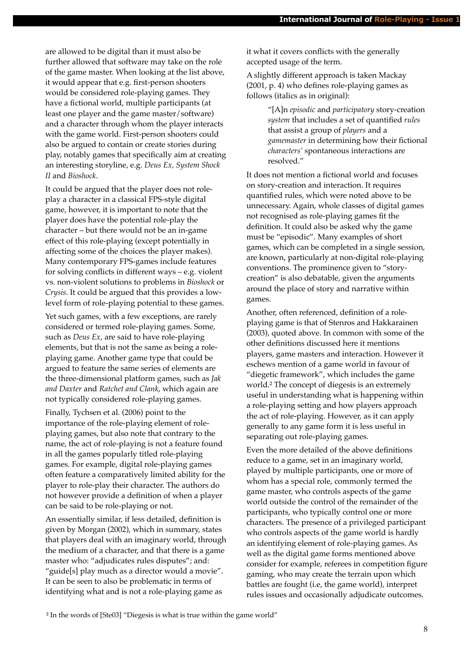are allowed to be digital than it must also be further allowed that software may take on the role of the game master. When looking at the list above, it would appear that e.g. first-person shooters would be considered role-playing games. They have a fictional world, multiple participants (at least one player and the game master/software) and a character through whom the player interacts with the game world. First-person shooters could also be argued to contain or create stories during play, notably games that specifically aim at creating an interesting storyline, e.g. *Deus Ex, System Shock II* and *Bioshock*.

It could be argued that the player does not roleplay a character in a classical FPS-style digital game, however, it is important to note that the player does have the potential role-play the character – but there would not be an in-game effect of this role-playing (except potentially in affecting some of the choices the player makes). Many contemporary FPS-games include features for solving conflicts in different ways – e.g. violent vs. non-violent solutions to problems in *Bioshock* or *Crysis*. It could be argued that this provides a lowlevel form of role-playing potential to these games.

Yet such games, with a few exceptions, are rarely considered or termed role-playing games. Some, such as *Deus Ex*, are said to have role-playing elements, but that is not the same as being a roleplaying game. Another game type that could be argued to feature the same series of elements are the three-dimensional platform games, such as *Jak and Daxter* and *Ratchet and Clank*, which again are not typically considered role-playing games.

Finally, Tychsen et al. (2006) point to the importance of the role-playing element of roleplaying games, but also note that contrary to the name, the act of role-playing is not a feature found in all the games popularly titled role-playing games. For example, digital role-playing games often feature a comparatively limited ability for the player to role-play their character. The authors do not however provide a definition of when a player can be said to be role-playing or not.

An essentially similar, if less detailed, definition is given by Morgan (2002), which in summary, states that players deal with an imaginary world, through the medium of a character, and that there is a game master who: "adjudicates rules disputes"; and: "guide[s] play much as a director would a movie". It can be seen to also be problematic in terms of identifying what and is not a role-playing game as

it what it covers conflicts with the generally accepted usage of the term.

A slightly different approach is taken Mackay (2001, p. 4) who defines role-playing games as follows (italics as in original):

> "[A]n *episodic* and *participatory* story-creation *system* that includes a set of quantified *rules* that assist a group of *players* and a *gamemaster* in determining how their fictional *characters'* spontaneous interactions are resolved."

It does not mention a fictional world and focuses on story-creation and interaction. It requires quantified rules, which were noted above to be unnecessary. Again, whole classes of digital games not recognised as role-playing games fit the definition. It could also be asked why the game must be "episodic". Many examples of short games, which can be completed in a single session, are known, particularly at non-digital role-playing conventions. The prominence given to "storycreation" is also debatable, given the arguments around the place of story and narrative within games.

Another, often referenced, definition of a roleplaying game is that of Stenros and Hakkarainen (2003), quoted above. In common with some of the other definitions discussed here it mentions players, game masters and interaction. However it eschews mention of a game world in favour of "diegetic framework", which includes the game world.² The concept of diegesis is an extremely useful in understanding what is happening within a role-playing setting and how players approach the act of role-playing. However, as it can apply generally to any game form it is less useful in separating out role-playing games.

Even the more detailed of the above definitions reduce to a game, set in an imaginary world, played by multiple participants, one or more of whom has a special role, commonly termed the game master, who controls aspects of the game world outside the control of the remainder of the participants, who typically control one or more characters. The presence of a privileged participant who controls aspects of the game world is hardly an identifying element of role-playing games. As well as the digital game forms mentioned above consider for example, referees in competition figure gaming, who may create the terrain upon which battles are fought (i.e, the game world), interpret rules issues and occasionally adjudicate outcomes.

² In the words of [Ste03] "Diegesis is what is true within the game world"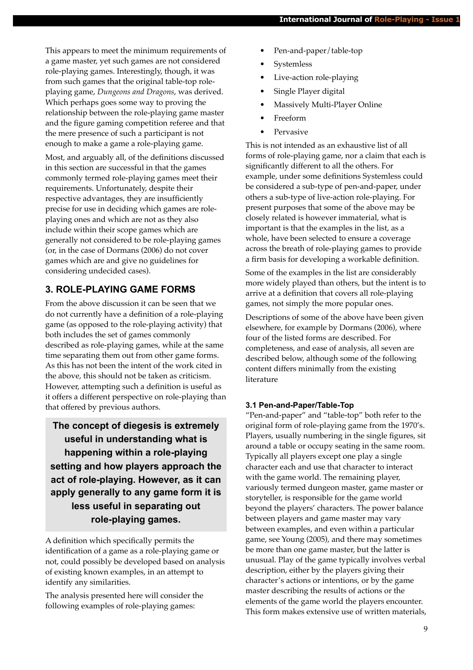This appears to meet the minimum requirements of a game master, yet such games are not considered role-playing games. Interestingly, though, it was from such games that the original table-top roleplaying game, *Dungeons and Dragons*, was derived. Which perhaps goes some way to proving the relationship between the role-playing game master and the figure gaming competition referee and that the mere presence of such a participant is not enough to make a game a role-playing game.

Most, and arguably all, of the definitions discussed in this section are successful in that the games commonly termed role-playing games meet their requirements. Unfortunately, despite their respective advantages, they are insufficiently precise for use in deciding which games are roleplaying ones and which are not as they also include within their scope games which are generally not considered to be role-playing games (or, in the case of Dormans (2006) do not cover games which are and give no guidelines for considering undecided cases).

# **3. ROLE-PLAYING GAME FORMS**

From the above discussion it can be seen that we do not currently have a definition of a role-playing game (as opposed to the role-playing activity) that both includes the set of games commonly described as role-playing games, while at the same time separating them out from other game forms. As this has not been the intent of the work cited in the above, this should not be taken as criticism. However, attempting such a definition is useful as it offers a different perspective on role-playing than that offered by previous authors.

**The concept of diegesis is extremely useful in understanding what is happening within a role-playing setting and how players approach the act of role-playing. However, as it can apply generally to any game form it is less useful in separating out role-playing games.**

A definition which specifically permits the identification of a game as a role-playing game or not, could possibly be developed based on analysis of existing known examples, in an attempt to identify any similarities.

The analysis presented here will consider the following examples of role-playing games:

- Pen-and-paper/table-top
- **Systemless**
- Live-action role-playing
- Single Player digital
- Massively Multi-Player Online
- Freeform
- **Pervasive**

This is not intended as an exhaustive list of all forms of role-playing game, nor a claim that each is significantly different to all the others. For example, under some definitions Systemless could be considered a sub-type of pen-and-paper, under others a sub-type of live-action role-playing. For present purposes that some of the above may be closely related is however immaterial, what is important is that the examples in the list, as a whole, have been selected to ensure a coverage across the breath of role-playing games to provide a firm basis for developing a workable definition.

Some of the examples in the list are considerably more widely played than others, but the intent is to arrive at a definition that covers all role-playing games, not simply the more popular ones.

Descriptions of some of the above have been given elsewhere, for example by Dormans (2006), where four of the listed forms are described. For completeness, and ease of analysis, all seven are described below, although some of the following content differs minimally from the existing literature

## **3.1 Pen-and-Paper/Table-Top**

"Pen-and-paper" and "table-top" both refer to the original form of role-playing game from the 1970's. Players, usually numbering in the single figures, sit around a table or occupy seating in the same room. Typically all players except one play a single character each and use that character to interact with the game world. The remaining player, variously termed dungeon master, game master or storyteller, is responsible for the game world beyond the players' characters. The power balance between players and game master may vary between examples, and even within a particular game, see Young (2005), and there may sometimes be more than one game master, but the latter is unusual. Play of the game typically involves verbal description, either by the players giving their character's actions or intentions, or by the game master describing the results of actions or the elements of the game world the players encounter. This form makes extensive use of written materials,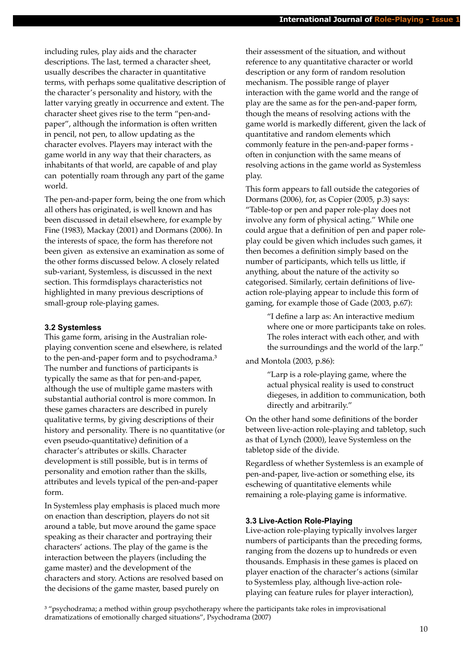including rules, play aids and the character descriptions. The last, termed a character sheet, usually describes the character in quantitative terms, with perhaps some qualitative description of the character's personality and history, with the latter varying greatly in occurrence and extent. The character sheet gives rise to the term "pen-andpaper", although the information is often written in pencil, not pen, to allow updating as the character evolves. Players may interact with the game world in any way that their characters, as inhabitants of that world, are capable of and play can potentially roam through any part of the game world.

The pen-and-paper form, being the one from which all others has originated, is well known and has been discussed in detail elsewhere, for example by Fine (1983), Mackay (2001) and Dormans (2006). In the interests of space, the form has therefore not been given as extensive an examination as some of the other forms discussed below. A closely related sub-variant, Systemless, is discussed in the next section. This formdisplays characteristics not highlighted in many previous descriptions of small-group role-playing games.

## **3.2 Systemless**

This game form, arising in the Australian roleplaying convention scene and elsewhere, is related to the pen-and-paper form and to psychodrama.<sup>3</sup> The number and functions of participants is typically the same as that for pen-and-paper, although the use of multiple game masters with substantial authorial control is more common. In these games characters are described in purely qualitative terms, by giving descriptions of their history and personality. There is no quantitative (or even pseudo-quantitative) definition of a character's attributes or skills. Character development is still possible, but is in terms of personality and emotion rather than the skills, attributes and levels typical of the pen-and-paper form.

In Systemless play emphasis is placed much more on enaction than description, players do not sit around a table, but move around the game space speaking as their character and portraying their characters' actions. The play of the game is the interaction between the players (including the game master) and the development of the characters and story. Actions are resolved based on the decisions of the game master, based purely on

their assessment of the situation, and without reference to any quantitative character or world description or any form of random resolution mechanism. The possible range of player interaction with the game world and the range of play are the same as for the pen-and-paper form, though the means of resolving actions with the game world is markedly different, given the lack of quantitative and random elements which commonly feature in the pen-and-paper forms often in conjunction with the same means of resolving actions in the game world as Systemless play.

This form appears to fall outside the categories of Dormans (2006), for, as Copier (2005, p.3) says: "Table-top or pen and paper role-play does not involve any form of physical acting." While one could argue that a definition of pen and paper roleplay could be given which includes such games, it then becomes a definition simply based on the number of participants, which tells us little, if anything, about the nature of the activity so categorised. Similarly, certain definitions of liveaction role-playing appear to include this form of gaming, for example those of Gade (2003, p.67):

> "I define a larp as: An interactive medium where one or more participants take on roles. The roles interact with each other, and with the surroundings and the world of the larp."

and Montola (2003, p.86):

"Larp is a role-playing game, where the actual physical reality is used to construct diegeses, in addition to communication, both directly and arbitrarily."

On the other hand some definitions of the border between live-action role-playing and tabletop, such as that of Lynch (2000), leave Systemless on the tabletop side of the divide.

Regardless of whether Systemless is an example of pen-and-paper, live-action or something else, its eschewing of quantitative elements while remaining a role-playing game is informative.

#### **3.3 Live-Action Role-Playing**

Live-action role-playing typically involves larger numbers of participants than the preceding forms, ranging from the dozens up to hundreds or even thousands. Emphasis in these games is placed on player enaction of the character's actions (similar to Systemless play, although live-action roleplaying can feature rules for player interaction),

<sup>3</sup> "psychodrama; a method within group psychotherapy where the participants take roles in improvisational dramatizations of emotionally charged situations", Psychodrama (2007)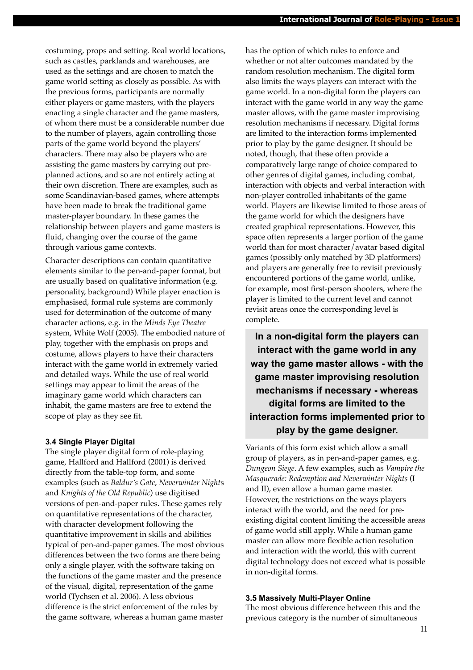costuming, props and setting. Real world locations, such as castles, parklands and warehouses, are used as the settings and are chosen to match the game world setting as closely as possible. As with the previous forms, participants are normally either players or game masters, with the players enacting a single character and the game masters, of whom there must be a considerable number due to the number of players, again controlling those parts of the game world beyond the players' characters. There may also be players who are assisting the game masters by carrying out preplanned actions, and so are not entirely acting at their own discretion. There are examples, such as some Scandinavian-based games, where attempts have been made to break the traditional game master-player boundary. In these games the relationship between players and game masters is fluid, changing over the course of the game through various game contexts.

Character descriptions can contain quantitative elements similar to the pen-and-paper format, but are usually based on qualitative information (e.g. personality, background) While player enaction is emphasised, formal rule systems are commonly used for determination of the outcome of many character actions, e.g. in the *Minds Eye Theatre* system, White Wolf (2005). The embodied nature of play, together with the emphasis on props and costume, allows players to have their characters interact with the game world in extremely varied and detailed ways. While the use of real world settings may appear to limit the areas of the imaginary game world which characters can inhabit, the game masters are free to extend the scope of play as they see fit.

#### **3.4 Single Player Digital**

The single player digital form of role-playing game, Hallford and Hallford (2001) is derived directly from the table-top form, and some examples (such as *Baldur's Gate*, *Neverwinter Night*s and *Knights of the Old Republic*) use digitised versions of pen-and-paper rules. These games rely on quantitative representations of the character, with character development following the quantitative improvement in skills and abilities typical of pen-and-paper games. The most obvious differences between the two forms are there being only a single player, with the software taking on the functions of the game master and the presence of the visual, digital, representation of the game world (Tychsen et al. 2006). A less obvious difference is the strict enforcement of the rules by the game software, whereas a human game master

has the option of which rules to enforce and whether or not alter outcomes mandated by the random resolution mechanism. The digital form also limits the ways players can interact with the game world. In a non-digital form the players can interact with the game world in any way the game master allows, with the game master improvising resolution mechanisms if necessary. Digital forms are limited to the interaction forms implemented prior to play by the game designer. It should be noted, though, that these often provide a comparatively large range of choice compared to other genres of digital games, including combat, interaction with objects and verbal interaction with non-player controlled inhabitants of the game world. Players are likewise limited to those areas of the game world for which the designers have created graphical representations. However, this space often represents a larger portion of the game world than for most character/avatar based digital games (possibly only matched by 3D platformers) and players are generally free to revisit previously encountered portions of the game world, unlike, for example, most first-person shooters, where the player is limited to the current level and cannot revisit areas once the corresponding level is complete.

**In a non-digital form the players can interact with the game world in any way the game master allows - with the game master improvising resolution mechanisms if necessary - whereas digital forms are limited to the interaction forms implemented prior to play by the game designer.**

Variants of this form exist which allow a small group of players, as in pen-and-paper games, e.g. *Dungeon Siege*. A few examples, such as *Vampire the Masquerade: Redemption and Neverwinter Nights* (I and II), even allow a human game master. However, the restrictions on the ways players interact with the world, and the need for preexisting digital content limiting the accessible areas of game world still apply. While a human game master can allow more flexible action resolution and interaction with the world, this with current digital technology does not exceed what is possible in non-digital forms.

#### **3.5 Massively Multi-Player Online**

The most obvious difference between this and the previous category is the number of simultaneous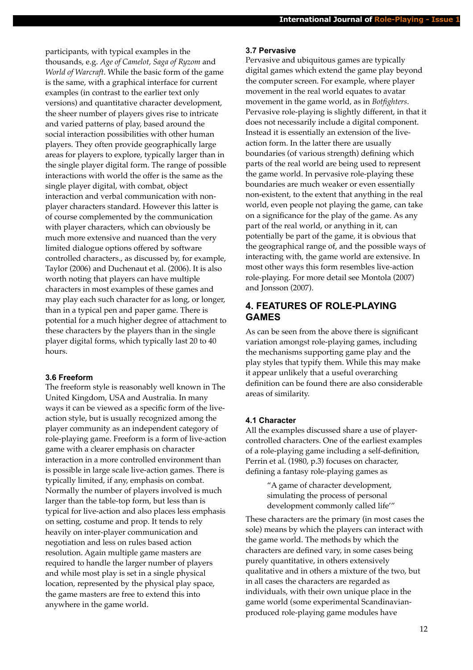participants, with typical examples in the thousands, e.g. *Age of Camelot, Saga of Ryzom* and *World of Warcraft*. While the basic form of the game is the same, with a graphical interface for current examples (in contrast to the earlier text only versions) and quantitative character development, the sheer number of players gives rise to intricate and varied patterns of play, based around the social interaction possibilities with other human players. They often provide geographically large areas for players to explore, typically larger than in the single player digital form. The range of possible interactions with world the offer is the same as the single player digital, with combat, object interaction and verbal communication with nonplayer characters standard. However this latter is of course complemented by the communication with player characters, which can obviously be much more extensive and nuanced than the very limited dialogue options offered by software controlled characters., as discussed by, for example, Taylor (2006) and Duchenaut et al. (2006). It is also worth noting that players can have multiple characters in most examples of these games and may play each such character for as long, or longer, than in a typical pen and paper game. There is potential for a much higher degree of attachment to these characters by the players than in the single player digital forms, which typically last 20 to 40 hours.

## **3.6 Freeform**

The freeform style is reasonably well known in The United Kingdom, USA and Australia. In many ways it can be viewed as a specific form of the liveaction style, but is usually recognized among the player community as an independent category of role-playing game. Freeform is a form of live-action game with a clearer emphasis on character interaction in a more controlled environment than is possible in large scale live-action games. There is typically limited, if any, emphasis on combat. Normally the number of players involved is much larger than the table-top form, but less than is typical for live-action and also places less emphasis on setting, costume and prop. It tends to rely heavily on inter-player communication and negotiation and less on rules based action resolution. Again multiple game masters are required to handle the larger number of players and while most play is set in a single physical location, represented by the physical play space, the game masters are free to extend this into anywhere in the game world.

#### **3.7 Pervasive**

Pervasive and ubiquitous games are typically digital games which extend the game play beyond the computer screen. For example, where player movement in the real world equates to avatar movement in the game world, as in *Botfighters*. Pervasive role-playing is slightly different, in that it does not necessarily include a digital component. Instead it is essentially an extension of the liveaction form. In the latter there are usually boundaries (of various strength) defining which parts of the real world are being used to represent the game world. In pervasive role-playing these boundaries are much weaker or even essentially non-existent, to the extent that anything in the real world, even people not playing the game, can take on a significance for the play of the game. As any part of the real world, or anything in it, can potentially be part of the game, it is obvious that the geographical range of, and the possible ways of interacting with, the game world are extensive. In most other ways this form resembles live-action role-playing. For more detail see Montola (2007) and Jonsson (2007).

# **4. FEATURES OF ROLE-PLAYING GAMES**

As can be seen from the above there is significant variation amongst role-playing games, including the mechanisms supporting game play and the play styles that typify them. While this may make it appear unlikely that a useful overarching definition can be found there are also considerable areas of similarity.

#### **4.1 Character**

All the examples discussed share a use of playercontrolled characters. One of the earliest examples of a role-playing game including a self-definition, Perrin et al. (1980, p.3) focuses on character, defining a fantasy role-playing games as

> "A game of character development, simulating the process of personal development commonly called life'"

These characters are the primary (in most cases the sole) means by which the players can interact with the game world. The methods by which the characters are defined vary, in some cases being purely quantitative, in others extensively qualitative and in others a mixture of the two, but in all cases the characters are regarded as individuals, with their own unique place in the game world (some experimental Scandinavianproduced role-playing game modules have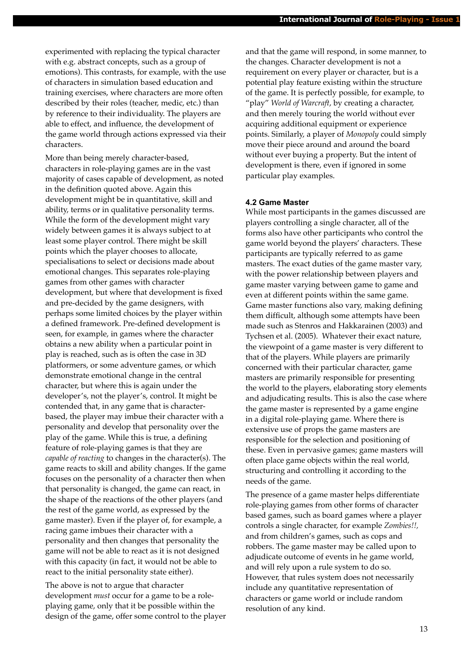experimented with replacing the typical character with e.g. abstract concepts, such as a group of emotions). This contrasts, for example, with the use of characters in simulation based education and training exercises, where characters are more often described by their roles (teacher, medic, etc.) than by reference to their individuality. The players are able to effect, and influence, the development of the game world through actions expressed via their characters.

More than being merely character-based, characters in role-playing games are in the vast majority of cases capable of development, as noted in the definition quoted above. Again this development might be in quantitative, skill and ability, terms or in qualitative personality terms. While the form of the development might vary widely between games it is always subject to at least some player control. There might be skill points which the player chooses to allocate, specialisations to select or decisions made about emotional changes. This separates role-playing games from other games with character development, but where that development is fixed and pre-decided by the game designers, with perhaps some limited choices by the player within a defined framework. Pre-defined development is seen, for example, in games where the character obtains a new ability when a particular point in play is reached, such as is often the case in 3D platformers, or some adventure games, or which demonstrate emotional change in the central character, but where this is again under the developer's, not the player's, control. It might be contended that, in any game that is characterbased, the player may imbue their character with a personality and develop that personality over the play of the game. While this is true, a defining feature of role-playing games is that they are *capable of reacting* to changes in the character(s). The game reacts to skill and ability changes. If the game focuses on the personality of a character then when that personality is changed, the game can react, in the shape of the reactions of the other players (and the rest of the game world, as expressed by the game master). Even if the player of, for example, a racing game imbues their character with a personality and then changes that personality the game will not be able to react as it is not designed with this capacity (in fact, it would not be able to react to the initial personality state either).

The above is not to argue that character development *must* occur for a game to be a roleplaying game, only that it be possible within the design of the game, offer some control to the player and that the game will respond, in some manner, to the changes. Character development is not a requirement on every player or character, but is a potential play feature existing within the structure of the game. It is perfectly possible, for example, to "play" *World of Warcraft*, by creating a character, and then merely touring the world without ever acquiring additional equipment or experience points. Similarly, a player of *Monopoly* could simply move their piece around and around the board without ever buying a property. But the intent of development is there, even if ignored in some particular play examples.

#### **4.2 Game Master**

While most participants in the games discussed are players controlling a single character, all of the forms also have other participants who control the game world beyond the players' characters. These participants are typically referred to as game masters. The exact duties of the game master vary, with the power relationship between players and game master varying between game to game and even at different points within the same game. Game master functions also vary, making defining them difficult, although some attempts have been made such as Stenros and Hakkarainen (2003) and Tychsen et al. (2005). Whatever their exact nature, the viewpoint of a game master is very different to that of the players. While players are primarily concerned with their particular character, game masters are primarily responsible for presenting the world to the players, elaborating story elements and adjudicating results. This is also the case where the game master is represented by a game engine in a digital role-playing game. Where there is extensive use of props the game masters are responsible for the selection and positioning of these. Even in pervasive games; game masters will often place game objects within the real world, structuring and controlling it according to the needs of the game.

The presence of a game master helps differentiate role-playing games from other forms of character based games, such as board games where a player controls a single character, for example *Zombies!!,*  and from children's games, such as cops and robbers. The game master may be called upon to adjudicate outcome of events in he game world, and will rely upon a rule system to do so. However, that rules system does not necessarily include any quantitative representation of characters or game world or include random resolution of any kind.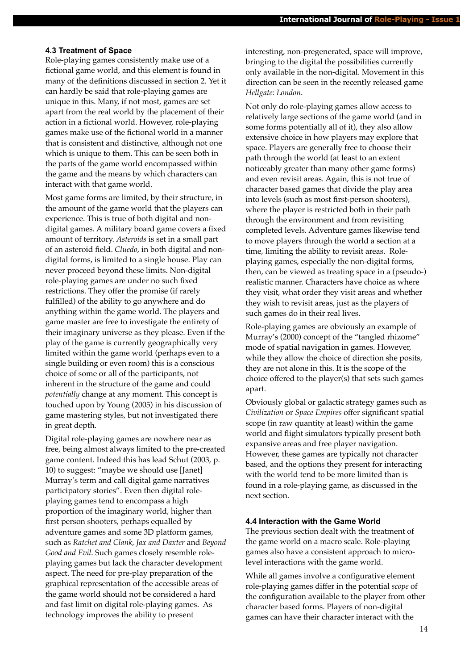#### **4.3 Treatment of Space**

Role-playing games consistently make use of a fictional game world, and this element is found in many of the definitions discussed in section 2. Yet it can hardly be said that role-playing games are unique in this. Many, if not most, games are set apart from the real world by the placement of their action in a fictional world. However, role-playing games make use of the fictional world in a manner that is consistent and distinctive, although not one which is unique to them. This can be seen both in the parts of the game world encompassed within the game and the means by which characters can interact with that game world.

Most game forms are limited, by their structure, in the amount of the game world that the players can experience. This is true of both digital and nondigital games. A military board game covers a fixed amount of territory. *Asteroids* is set in a small part of an asteroid field. *Cluedo*, in both digital and nondigital forms, is limited to a single house. Play can never proceed beyond these limits. Non-digital role-playing games are under no such fixed restrictions. They offer the promise (if rarely fulfilled) of the ability to go anywhere and do anything within the game world. The players and game master are free to investigate the entirety of their imaginary universe as they please. Even if the play of the game is currently geographically very limited within the game world (perhaps even to a single building or even room) this is a conscious choice of some or all of the participants, not inherent in the structure of the game and could *potentially* change at any moment. This concept is touched upon by Young (2005) in his discussion of game mastering styles, but not investigated there in great depth.

Digital role-playing games are nowhere near as free, being almost always limited to the pre-created game content. Indeed this has lead Schut (2003, p. 10) to suggest: "maybe we should use [Janet] Murray's term and call digital game narratives participatory stories". Even then digital roleplaying games tend to encompass a high proportion of the imaginary world, higher than first person shooters, perhaps equalled by adventure games and some 3D platform games, such as *Ratchet and Clank*, *Jax and Daxter* and *Beyond Good and Evil*. Such games closely resemble roleplaying games but lack the character development aspect. The need for pre-play preparation of the graphical representation of the accessible areas of the game world should not be considered a hard and fast limit on digital role-playing games. As technology improves the ability to present

interesting, non-pregenerated, space will improve, bringing to the digital the possibilities currently only available in the non-digital. Movement in this direction can be seen in the recently released game *Hellgate: London*.

Not only do role-playing games allow access to relatively large sections of the game world (and in some forms potentially all of it), they also allow extensive choice in how players may explore that space. Players are generally free to choose their path through the world (at least to an extent noticeably greater than many other game forms) and even revisit areas. Again, this is not true of character based games that divide the play area into levels (such as most first-person shooters), where the player is restricted both in their path through the environment and from revisiting completed levels. Adventure games likewise tend to move players through the world a section at a time, limiting the ability to revisit areas. Roleplaying games, especially the non-digital forms, then, can be viewed as treating space in a (pseudo-) realistic manner. Characters have choice as where they visit, what order they visit areas and whether they wish to revisit areas, just as the players of such games do in their real lives.

Role-playing games are obviously an example of Murray's (2000) concept of the "tangled rhizome" mode of spatial navigation in games. However, while they allow the choice of direction she posits, they are not alone in this. It is the scope of the choice offered to the player(s) that sets such games apart.

Obviously global or galactic strategy games such as *Civilization* or *Space Empires* offer significant spatial scope (in raw quantity at least) within the game world and flight simulators typically present both expansive areas and free player navigation. However, these games are typically not character based, and the options they present for interacting with the world tend to be more limited than is found in a role-playing game, as discussed in the next section.

#### **4.4 Interaction with the Game World**

The previous section dealt with the treatment of the game world on a macro scale. Role-playing games also have a consistent approach to microlevel interactions with the game world.

While all games involve a configurative element role-playing games differ in the potential *scope* of the configuration available to the player from other character based forms. Players of non-digital games can have their character interact with the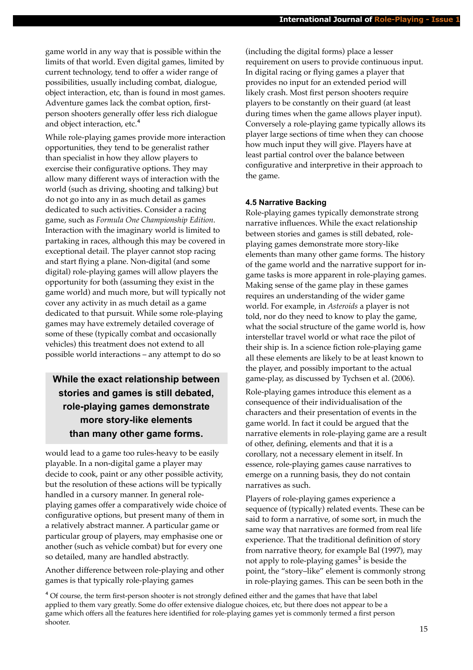game world in any way that is possible within the limits of that world. Even digital games, limited by current technology, tend to offer a wider range of possibilities, usually including combat, dialogue, object interaction, etc, than is found in most games. Adventure games lack the combat option, firstperson shooters generally offer less rich dialogue and object interaction, etc.<sup>4</sup>

While role-playing games provide more interaction opportunities, they tend to be generalist rather than specialist in how they allow players to exercise their configurative options. They may allow many different ways of interaction with the world (such as driving, shooting and talking) but do not go into any in as much detail as games dedicated to such activities. Consider a racing game, such as *Formula One Championship Edition*. Interaction with the imaginary world is limited to partaking in races, although this may be covered in exceptional detail. The player cannot stop racing and start flying a plane. Non-digital (and some digital) role-playing games will allow players the opportunity for both (assuming they exist in the game world) and much more, but will typically not cover any activity in as much detail as a game dedicated to that pursuit. While some role-playing games may have extremely detailed coverage of some of these (typically combat and occasionally vehicles) this treatment does not extend to all possible world interactions – any attempt to do so

# **While the exact relationship between stories and games is still debated, role-playing games demonstrate more story-like elements than many other game forms.**

would lead to a game too rules-heavy to be easily playable. In a non-digital game a player may decide to cook, paint or any other possible activity, but the resolution of these actions will be typically handled in a cursory manner. In general roleplaying games offer a comparatively wide choice of configurative options, but present many of them in a relatively abstract manner. A particular game or particular group of players, may emphasise one or another (such as vehicle combat) but for every one so detailed, many are handled abstractly.

Another difference between role-playing and other games is that typically role-playing games

(including the digital forms) place a lesser requirement on users to provide continuous input. In digital racing or flying games a player that provides no input for an extended period will likely crash. Most first person shooters require players to be constantly on their guard (at least during times when the game allows player input). Conversely a role-playing game typically allows its player large sections of time when they can choose how much input they will give. Players have at least partial control over the balance between configurative and interpretive in their approach to the game.

## **4.5 Narrative Backing**

Role-playing games typically demonstrate strong narrative influences. While the exact relationship between stories and games is still debated, roleplaying games demonstrate more story-like elements than many other game forms. The history of the game world and the narrative support for ingame tasks is more apparent in role-playing games. Making sense of the game play in these games requires an understanding of the wider game world. For example, in *Asteroids* a player is not told, nor do they need to know to play the game, what the social structure of the game world is, how interstellar travel world or what race the pilot of their ship is. In a science fiction role-playing game all these elements are likely to be at least known to the player, and possibly important to the actual game-play, as discussed by Tychsen et al. (2006).

Role-playing games introduce this element as a consequence of their individualisation of the characters and their presentation of events in the game world. In fact it could be argued that the narrative elements in role-playing game are a result of other, defining, elements and that it is a corollary, not a necessary element in itself. In essence, role-playing games cause narratives to emerge on a running basis, they do not contain narratives as such.

Players of role-playing games experience a sequence of (typically) related events. These can be said to form a narrative, of some sort, in much the same way that narratives are formed from real life experience. That the traditional definition of story from narrative theory, for example Bal (1997), may not apply to role-playing games<sup>5</sup> is beside the point, the "story–like" element is commonly strong in role-playing games. This can be seen both in the

⁴ Of course, the term first-person shooter is not strongly defined either and the games that have that label applied to them vary greatly. Some do offer extensive dialogue choices, etc, but there does not appear to be a game which offers all the features here identified for role-playing games yet is commonly termed a first person shooter.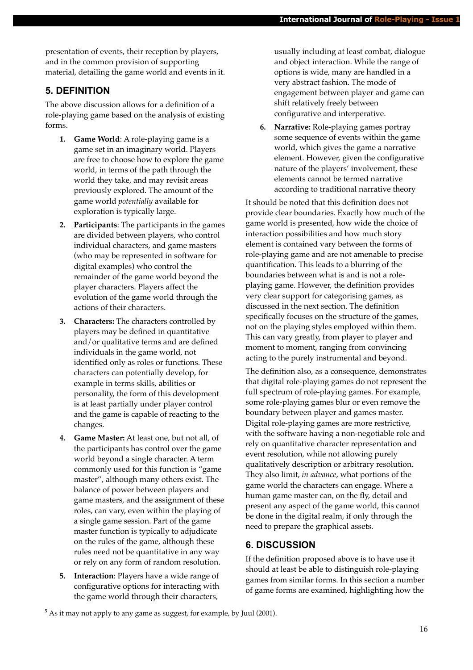presentation of events, their reception by players, and in the common provision of supporting material, detailing the game world and events in it.

# **5. DEFINITION**

The above discussion allows for a definition of a role-playing game based on the analysis of existing forms.

- **1. Game World**: A role-playing game is a game set in an imaginary world. Players are free to choose how to explore the game world, in terms of the path through the world they take, and may revisit areas previously explored. The amount of the game world *potentially* available for exploration is typically large.
- **2. Participants**: The participants in the games are divided between players, who control individual characters, and game masters (who may be represented in software for digital examples) who control the remainder of the game world beyond the player characters. Players affect the evolution of the game world through the actions of their characters.
- **3. Characters:** The characters controlled by players may be defined in quantitative and/or qualitative terms and are defined individuals in the game world, not identified only as roles or functions. These characters can potentially develop, for example in terms skills, abilities or personality, the form of this development is at least partially under player control and the game is capable of reacting to the changes.
- **4. Game Master:** At least one, but not all, of the participants has control over the game world beyond a single character. A term commonly used for this function is "game master", although many others exist. The balance of power between players and game masters, and the assignment of these roles, can vary, even within the playing of a single game session. Part of the game master function is typically to adjudicate on the rules of the game, although these rules need not be quantitative in any way or rely on any form of random resolution.
- **5. Interaction**: Players have a wide range of configurative options for interacting with the game world through their characters,

usually including at least combat, dialogue and object interaction. While the range of options is wide, many are handled in a very abstract fashion. The mode of engagement between player and game can shift relatively freely between configurative and interperative.

**6. Narrative:** Role-playing games portray some sequence of events within the game world, which gives the game a narrative element. However, given the configurative nature of the players' involvement, these elements cannot be termed narrative according to traditional narrative theory

It should be noted that this definition does not provide clear boundaries. Exactly how much of the game world is presented, how wide the choice of interaction possibilities and how much story element is contained vary between the forms of role-playing game and are not amenable to precise quantification. This leads to a blurring of the boundaries between what is and is not a roleplaying game. However, the definition provides very clear support for categorising games, as discussed in the next section. The definition specifically focuses on the structure of the games, not on the playing styles employed within them. This can vary greatly, from player to player and moment to moment, ranging from convincing acting to the purely instrumental and beyond.

The definition also, as a consequence, demonstrates that digital role-playing games do not represent the full spectrum of role-playing games. For example, some role-playing games blur or even remove the boundary between player and games master. Digital role-playing games are more restrictive, with the software having a non-negotiable role and rely on quantitative character representation and event resolution, while not allowing purely qualitatively description or arbitrary resolution. They also limit, *in advance*, what portions of the game world the characters can engage. Where a human game master can, on the fly, detail and present any aspect of the game world, this cannot be done in the digital realm, if only through the need to prepare the graphical assets.

## **6. DISCUSSION**

If the definition proposed above is to have use it should at least be able to distinguish role-playing games from similar forms. In this section a number of game forms are examined, highlighting how the

<sup>&</sup>lt;sup>5</sup> As it may not apply to any game as suggest, for example, by Juul (2001).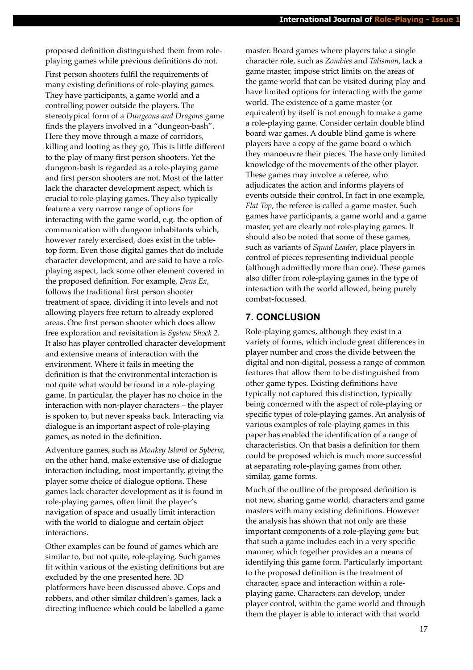proposed definition distinguished them from roleplaying games while previous definitions do not.

First person shooters fulfil the requirements of many existing definitions of role-playing games. They have participants, a game world and a controlling power outside the players. The stereotypical form of a *Dungeons and Dragons* game finds the players involved in a "dungeon-bash". Here they move through a maze of corridors, killing and looting as they go, This is little different to the play of many first person shooters. Yet the dungeon-bash is regarded as a role-playing game and first person shooters are not. Most of the latter lack the character development aspect, which is crucial to role-playing games. They also typically feature a very narrow range of options for interacting with the game world, e.g. the option of communication with dungeon inhabitants which, however rarely exercised, does exist in the tabletop form. Even those digital games that do include character development, and are said to have a roleplaying aspect, lack some other element covered in the proposed definition. For example, *Deus Ex*, follows the traditional first person shooter treatment of space, dividing it into levels and not allowing players free return to already explored areas. One first person shooter which does allow free exploration and revisitation is *System Shock 2*. It also has player controlled character development and extensive means of interaction with the environment. Where it fails in meeting the definition is that the environmental interaction is not quite what would be found in a role-playing game. In particular, the player has no choice in the interaction with non-player characters – the player is spoken to, but never speaks back. Interacting via dialogue is an important aspect of role-playing games, as noted in the definition.

Adventure games, such as *Monkey Island* or *Syberia*, on the other hand, make extensive use of dialogue interaction including, most importantly, giving the player some choice of dialogue options. These games lack character development as it is found in role-playing games, often limit the player's navigation of space and usually limit interaction with the world to dialogue and certain object interactions.

Other examples can be found of games which are similar to, but not quite, role-playing. Such games fit within various of the existing definitions but are excluded by the one presented here. 3D platformers have been discussed above. Cops and robbers, and other similar children's games, lack a directing influence which could be labelled a game

master. Board games where players take a single character role, such as *Zombies* and *Talisman*, lack a game master, impose strict limits on the areas of the game world that can be visited during play and have limited options for interacting with the game world. The existence of a game master (or equivalent) by itself is not enough to make a game a role-playing game. Consider certain double blind board war games. A double blind game is where players have a copy of the game board o which they manoeuvre their pieces. The have only limited knowledge of the movements of the other player. These games may involve a referee, who adjudicates the action and informs players of events outside their control. In fact in one example, *Flat Top*, the referee is called a game master. Such games have participants, a game world and a game master, yet are clearly not role-playing games. It should also be noted that some of these games, such as variants of *Squad Leader*, place players in control of pieces representing individual people (although admittedly more than one). These games also differ from role-playing games in the type of interaction with the world allowed, being purely combat-focussed.

## **7. CONCLUSION**

Role-playing games, although they exist in a variety of forms, which include great differences in player number and cross the divide between the digital and non-digital, possess a range of common features that allow them to be distinguished from other game types. Existing definitions have typically not captured this distinction, typically being concerned with the aspect of role-playing or specific types of role-playing games. An analysis of various examples of role-playing games in this paper has enabled the identification of a range of characteristics. On that basis a definition for them could be proposed which is much more successful at separating role-playing games from other, similar, game forms.

Much of the outline of the proposed definition is not new, sharing game world, characters and game masters with many existing definitions. However the analysis has shown that not only are these important components of a role-playing *game* but that such a game includes each in a very specific manner, which together provides an a means of identifying this game form. Particularly important to the proposed definition is the treatment of character, space and interaction within a roleplaying game. Characters can develop, under player control, within the game world and through them the player is able to interact with that world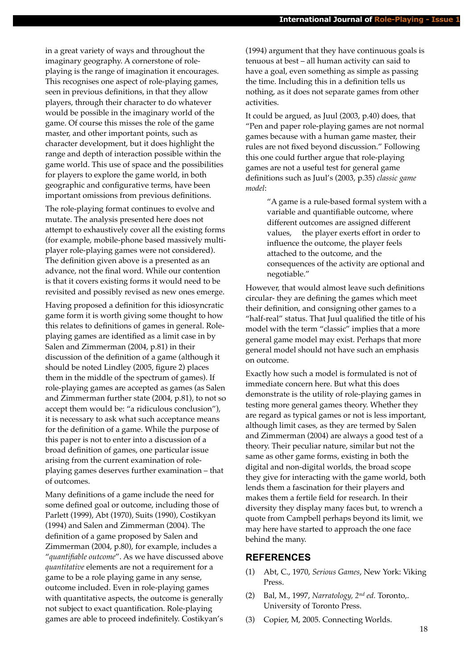in a great variety of ways and throughout the imaginary geography. A cornerstone of roleplaying is the range of imagination it encourages. This recognises one aspect of role-playing games, seen in previous definitions, in that they allow players, through their character to do whatever would be possible in the imaginary world of the game. Of course this misses the role of the game master, and other important points, such as character development, but it does highlight the range and depth of interaction possible within the game world. This use of space and the possibilities for players to explore the game world, in both geographic and configurative terms, have been important omissions from previous definitions.

The role-playing format continues to evolve and mutate. The analysis presented here does not attempt to exhaustively cover all the existing forms (for example, mobile-phone based massively multiplayer role-playing games were not considered). The definition given above is a presented as an advance, not the final word. While our contention is that it covers existing forms it would need to be revisited and possibly revised as new ones emerge.

Having proposed a definition for this idiosyncratic game form it is worth giving some thought to how this relates to definitions of games in general. Roleplaying games are identified as a limit case in by Salen and Zimmerman (2004, p.81) in their discussion of the definition of a game (although it should be noted Lindley (2005, figure 2) places them in the middle of the spectrum of games). If role-playing games are accepted as games (as Salen and Zimmerman further state (2004, p.81), to not so accept them would be: "a ridiculous conclusion"), it is necessary to ask what such acceptance means for the definition of a game. While the purpose of this paper is not to enter into a discussion of a broad definition of games, one particular issue arising from the current examination of roleplaying games deserves further examination – that of outcomes.

Many definitions of a game include the need for some defined goal or outcome, including those of Parlett (1999), Abt (1970), Suits (1990), Costikyan (1994) and Salen and Zimmerman (2004). The definition of a game proposed by Salen and Zimmerman (2004, p.80), for example, includes a "*quantifiable outcome*". As we have discussed above *quantitative* elements are not a requirement for a game to be a role playing game in any sense, outcome included. Even in role-playing games with quantitative aspects, the outcome is generally not subject to exact quantification. Role-playing games are able to proceed indefinitely. Costikyan's

(1994) argument that they have continuous goals is tenuous at best – all human activity can said to have a goal, even something as simple as passing the time. Including this in a definition tells us nothing, as it does not separate games from other activities.

It could be argued, as Juul (2003, p.40) does, that "Pen and paper role-playing games are not normal games because with a human game master, their rules are not fixed beyond discussion." Following this one could further argue that role-playing games are not a useful test for general game definitions such as Juul's (2003, p.35) *classic game model*:

> "A game is a rule-based formal system with a variable and quantifiable outcome, where different outcomes are assigned different values, the player exerts effort in order to influence the outcome, the player feels attached to the outcome, and the consequences of the activity are optional and negotiable."

However, that would almost leave such definitions circular- they are defining the games which meet their definition, and consigning other games to a "half-real" status. That Juul qualified the title of his model with the term "classic" implies that a more general game model may exist. Perhaps that more general model should not have such an emphasis on outcome.

Exactly how such a model is formulated is not of immediate concern here. But what this does demonstrate is the utility of role-playing games in testing more general games theory. Whether they are regard as typical games or not is less important, although limit cases, as they are termed by Salen and Zimmerman (2004) are always a good test of a theory. Their peculiar nature, similar but not the same as other game forms, existing in both the digital and non-digital worlds, the broad scope they give for interacting with the game world, both lends them a fascination for their players and makes them a fertile field for research. In their diversity they display many faces but, to wrench a quote from Campbell perhaps beyond its limit, we may here have started to approach the one face behind the many.

## **REFERENCES**

- (1) Abt, C., 1970, *Serious Games*, New York: Viking Press.
- (2) Bal, M., 1997, *Narratology, 2nd ed.* Toronto,. University of Toronto Press.
- (3) Copier, M, 2005. Connecting Worlds.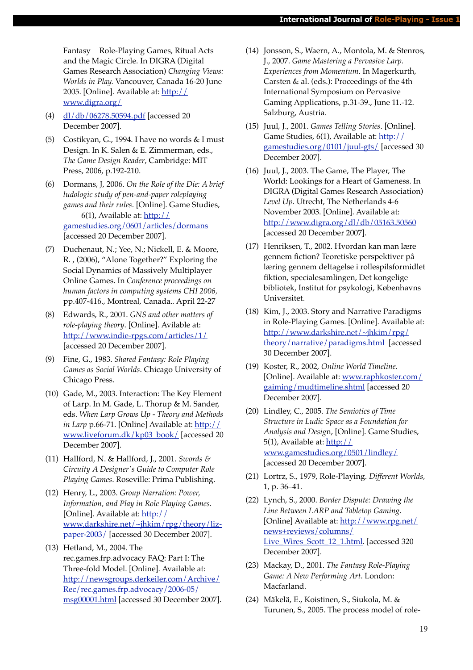Fantasy Role-Playing Games, Ritual Acts and the Magic Circle. In DIGRA (Digital Games Research Association) *Changing Views: Worlds in Play.* Vancouver, Canada 16-20 June 2005. [Online]. Available at: [http://](http://www.digra.org/dl/db/06278.50594.pdf) [www.digra.org/](http://www.digra.org/dl/db/06278.50594.pdf)

- (4) [dl/db/06278.50594.pdf](http://www.digra.org/dl/db/06278.50594.pdf) [accessed 20 December 2007].
- (5) Costikyan, G., 1994. I have no words & I must Design. In K. Salen & E. Zimmerman, eds., *The Game Design Reader*, Cambridge: MIT Press, 2006, p.192-210.
- (6) Dormans, J, 2006. *On the Role of the Die: A brief ludologic study of pen-and-paper roleplaying games and their rules*. [Online]. Game Studies, 6(1), Available at:  $\frac{\text{http://}}{\text{http://}}$ [gamestudies.org/0601/articles/dormans](http://gamestudies.org/0601/articles/dormans) [accessed 20 December 2007].
- (7) Duchenaut, N.; Yee, N.; Nickell, E. & Moore, R. , (2006), "Alone Together?" Exploring the Social Dynamics of Massively Multiplayer Online Games. In *Conference proceedings on human factors in computing systems CHI 2006,* pp.407-416., Montreal, Canada.*.* April 22-27
- (8) Edwards, R., 2001. *GNS and other matters of role-playing theory*. [Online]. Avilable at: <http://www.indie-rpgs.com/articles/1/> [accessed 20 December 2007].
- (9) Fine, G., 1983. *Shared Fantasy: Role Playing Games as Social Worlds*. Chicago University of Chicago Press.
- (10) Gade, M., 2003. Interaction: The Key Element of Larp. In M. Gade, L. Thorup & M. Sander, eds. *When Larp Grows Up - Theory and Methods in Larp* p.66-71. [Online] Available at: [http://](http://www.liveforum.dk/kp03_book/) [www.liveforum.dk/kp03\\_book/](http://www.liveforum.dk/kp03_book/) [accessed 20 December 2007].
- (11) Hallford, N. & Hallford, J., 2001. *Swords & Circuity A Designer's Guide to Computer Role Playing Games*. Roseville: Prima Publishing.
- (12) Henry, L., 2003. *Group Narration: Power, Information, and Play in Role Playing Games.* [Online]. Available at: [http://](http://www.darkshire.net/~jhkim/rpg/theory/liz-paper-2003/) [www.darkshire.net/~jhkim/rpg/theory/liz](http://www.darkshire.net/~jhkim/rpg/theory/liz-paper-2003/)[paper-2003/](http://www.darkshire.net/~jhkim/rpg/theory/liz-paper-2003/) [accessed 30 December 2007].
- (13) Hetland, M., 2004. The rec.games.frp.advocacy FAQ: Part I: The Three-fold Model. [Online]. Available at: [http://newsgroups.derkeiler.com/Archive/](http://newsgroups.derkeiler.com/Archive/Rec/rec.games.frp.advocacy/2006-05/msg00001.html) [Rec/rec.games.frp.advocacy/2006-05/](http://newsgroups.derkeiler.com/Archive/Rec/rec.games.frp.advocacy/2006-05/msg00001.html) [msg00001.html](http://newsgroups.derkeiler.com/Archive/Rec/rec.games.frp.advocacy/2006-05/msg00001.html) [accessed 30 December 2007].
- (14) Jonsson, S., Waern, A., Montola, M. & Stenros, J., 2007. *Game Mastering a Pervasive Larp. Experiences from Momentum*. In Magerkurth, Carsten & al. (eds.): Proceedings of the 4th International Symposium on Pervasive Gaming Applications, p.31-39., June 11.-12. Salzburg, Austria.
- (15) Juul, J., 2001. *Games Telling Stories*. [Online]. Game Studies, 6(1), Available at: [http://](http://gamestudies.org/0601/articles/dormans) [gamestudies.org/0101/juul-gts/](http://gamestudies.org/0601/articles/dormans) [accessed 30 December 2007].
- (16) Juul, J., 2003. The Game, The Player, The World: Lookings for a Heart of Gameness. In DIGRA (Digital Games Research Association) *Level Up.* Utrecht, The Netherlands 4-6 November 2003. [Online]. Available at: <http://www.digra.org/dl/db/05163.50560> [accessed 20 December 2007].
- (17) Henriksen, T., 2002. Hvordan kan man lære gennem fiction? Teoretiske perspektiver på læring gennem deltagelse i rollespilsformidlet fiktion, specialesamlingen, Det kongelige bibliotek, Institut for psykologi, Københavns Universitet.
- (18) Kim, J., 2003. Story and Narrative Paradigms in Role-Playing Games. [Online]. Available at: [http://www.darkshire.net/~jhkim/rpg/](http://www.darkshire.net/~jhkim/rpg/theory/narrative/paradigms.html) [theory/narrative/paradigms.html](http://www.darkshire.net/~jhkim/rpg/theory/narrative/paradigms.html) [accessed 30 December 2007].
- (19) Koster, R., 2002, *Online World Timeline*. [Online]. Available at: [www.raphkoster.com/](http://www.raphkoster.com/gaiming/mudtimeline.shtml) [gaiming/mudtimeline.shtml](http://www.raphkoster.com/gaiming/mudtimeline.shtml) [accessed 20 December 2007].
- (20) Lindley, C., 2005. *The Semiotics of Time Structure in Ludic Space as a Foundation for Analysis and Desig*n, [Online]. Game Studies, 5(1), Available at:  $\frac{\text{http://}}{\text{http://}}$ [www.gamestudies.org/0501/lindley/](http://www.gamestudies.org/0501/lindley/) [accessed 20 December 2007].
- (21) Lortrz, S., 1979, Role-Playing. *Different Worlds,*  1, p. 36–41.
- (22) Lynch, S., 2000. *Border Dispute: Drawing the Line Between LARP and Tabletop Gaming.* [Online] Available at: [http://www.rpg.net/](http://www.rpg.net/news+reviews/columns/Live_Wires_Scott_12_1.html) [news+reviews/columns/](http://www.rpg.net/news+reviews/columns/Live_Wires_Scott_12_1.html) [Live\\_Wires\\_Scott\\_12\\_1.html.](http://www.rpg.net/news+reviews/columns/Live_Wires_Scott_12_1.html) [accessed 320 December 2007].
- (23) Mackay, D., 2001. *The Fantasy Role-Playing Game: A New Performing Art*. London: Macfarland.
- (24) Mäkelä, E., Koistinen, S., Siukola, M. & Turunen*,* S., 2005. The process model of role-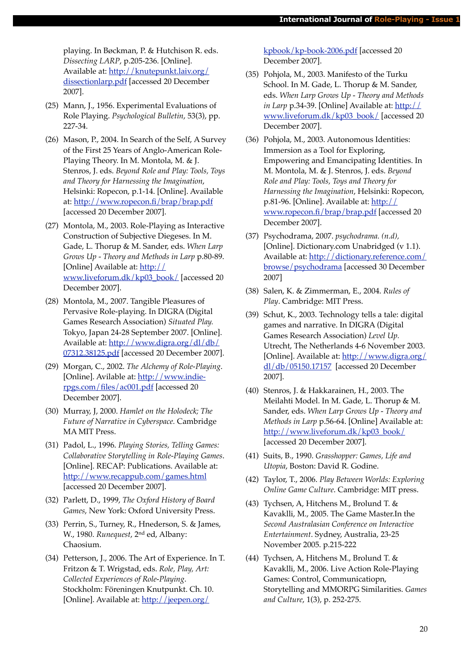playing. In Bøckman, P. & Hutchison R. eds. *Dissecting LARP*, p.205-236. [Online]. Available at: [http://knutepunkt.laiv.org/](http://knutepunkt.laiv.org/dissectionlarp.pdf) [dissectionlarp.pdf](http://knutepunkt.laiv.org/dissectionlarp.pdf) [accessed 20 December 2007].

- (25) Mann, J., 1956. Experimental Evaluations of Role Playing. *Psychological Bulletin*, 53(3), pp. 227-34.
- (26) Mason, P., 2004. In Search of the Self, A Survey of the First 25 Years of Anglo-American Role-Playing Theory. In M. Montola, M. & J. Stenros, J. eds. *Beyond Role and Play: Tools, Toys and Theory for Harnessing the Imagination*, Helsinki: Ropecon, p.1-14. [Online]. Available at:<http://www.ropecon.fi/brap/brap.pdf> [accessed 20 December 2007].
- (27) Montola, M., 2003. Role-Playing as Interactive Construction of Subjective Diegeses. In M. Gade, L. Thorup & M. Sander, eds. *When Larp Grows Up - Theory and Methods in Larp* p.80-89. [Online] Available at: [http://](http://www.liveforum.dk/kp03_book/) [www.liveforum.dk/kp03\\_book/](http://www.liveforum.dk/kp03_book/) [accessed 20 December 2007].
- (28) Montola, M., 2007. Tangible Pleasures of Pervasive Role-playing. In DIGRA (Digital Games Research Association) *Situated Play.* Tokyo, Japan 24-28 September 2007. [Online]. Available at: [http://www.digra.org/dl/db/](http://www.digra.org/dl/db/07312.38125.pdf) [07312.38125.pdf](http://www.digra.org/dl/db/07312.38125.pdf) [accessed 20 December 2007].
- (29) Morgan, C., 2002. *The Alchemy of Role-Playing*. [Online]. Avilable at: [http://www.indie](http://www.indie-rpgs.com/files/ac001.pdf)[rpgs.com/files/ac001.pdf](http://www.indie-rpgs.com/files/ac001.pdf) [accessed 20 December 2007].
- (30) Murray, J, 2000. *Hamlet on the Holodeck; The Future of Narrative in Cyberspace.* Cambridge MA MIT Press.
- (31) Padol, L., 1996. *Playing Stories, Telling Games: Collaborative Storytelling in Role-Playing Games*. [Online]. RECAP: Publications. Available at: <http://www.recappub.com/games.html> [accessed 20 December 2007].
- (32) Parlett, D., 1999, *The Oxford History of Board Games*, New York: Oxford University Press.
- (33) Perrin, S., Turney, R., Hnederson, S. & James, W., 1980. *Runequest*, 2nd ed, Albany: Chaosium.
- (34) Petterson, J., 2006. The Art of Experience. In T. Fritzon & T. Wrigstad, eds. *Role, Play, Art: Collected Experiences of Role-Playing*. Stockholm: Föreningen Knutpunkt. Ch. 10. [Online]. Available at: [http://jeepen.org/](http://jeepen.org/kpbook/kp-book-2006.pdf)

[kpbook/kp-book-2006.pdf](http://jeepen.org/kpbook/kp-book-2006.pdf) [accessed 20 December 2007].

- (35) Pohjola, M., 2003. Manifesto of the Turku School. In M. Gade, L. Thorup & M. Sander, eds. *When Larp Grows Up - Theory and Methods in Larp* p.34-39. [Online] Available at: [http://](http://www.liveforum.dk/kp03_book/) [www.liveforum.dk/kp03\\_book/](http://www.liveforum.dk/kp03_book/) [accessed 20 December 2007].
- (36) Pohjola, M., 2003. Autonomous Identities: Immersion as a Tool for Exploring, Empowering and Emancipating Identities. In M. Montola, M. & J. Stenros, J. eds. *Beyond Role and Play: Tools, Toys and Theory for Harnessing the Imagination*, Helsinki: Ropecon, p.81-96. [Online]. Available at: [http://](http://www.ropecon.fi/brap/brap.pdf) [www.ropecon.fi/brap/brap.pdf](http://www.ropecon.fi/brap/brap.pdf) [accessed 20 December 2007].
- (37) Psychodrama, 2007. *psychodrama. (n.d),*  [Online]. Dictionary.com Unabridged (v 1.1). Available at: [http://dictionary.reference.com/](http://dictionary.reference.com/browse/psychodrama) [browse/psychodrama](http://dictionary.reference.com/browse/psychodrama) [accessed 30 December 2007]
- (38) Salen, K. & Zimmerman, E., 2004. *Rules of Play*. Cambridge: MIT Press.
- (39) Schut, K., 2003. Technology tells a tale: digital games and narrative. In DIGRA (Digital Games Research Association) *Level Up.* Utrecht, The Netherlands 4-6 November 2003. [Online]. Available at: [http://www.digra.org/](http://www.digra.org/dl/db/05150.17157) [dl/db/05150.17157](http://www.digra.org/dl/db/05150.17157) [accessed 20 December 2007].
- (40) Stenros, J. & Hakkarainen, H., 2003. The Meilahti Model. In M. Gade, L. Thorup & M. Sander, eds. *When Larp Grows Up - Theory and Methods in Larp* p.56-64. [Online] Available at: [http://www.liveforum.dk/kp03\\_book/](http://www.liveforum.dk/kp03_book/) [accessed 20 December 2007].
- (41) Suits, B., 1990. *Grasshopper: Games, Life and Utopia*, Boston: David R. Godine.
- (42) Taylor, T., 2006. *Play Between Worlds: Exploring Online Game Culture*. Cambridge: MIT press.
- (43) Tychsen, A, Hitchens M., Brolund T. & Kavaklli, M., 2005. The Game Master.In the *Second Australasian Conference on Interactive Entertainment*. Sydney, Australia, 23-25 November 2005. p.215-222
- (44) Tychsen, A, Hitchens M., Brolund T. & Kavaklli, M., 2006. Live Action Role-Playing Games: Control, Communicatiopn, Storytelling and MMORPG Similarities. *Games and Culture*, 1(3), p. 252-275.